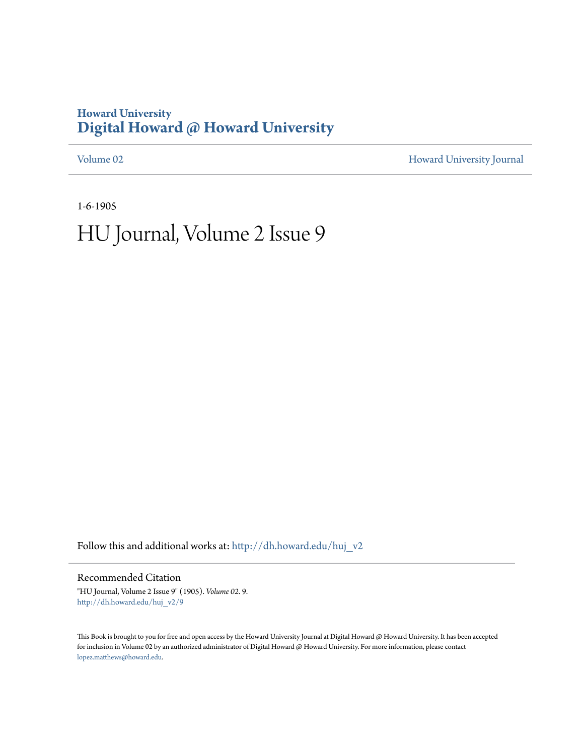## **Howard University [Digital Howard @ Howard University](http://dh.howard.edu?utm_source=dh.howard.edu%2Fhuj_v2%2F9&utm_medium=PDF&utm_campaign=PDFCoverPages)**

[Volume 02](http://dh.howard.edu/huj_v2?utm_source=dh.howard.edu%2Fhuj_v2%2F9&utm_medium=PDF&utm_campaign=PDFCoverPages) [Howard University Journal](http://dh.howard.edu/huj?utm_source=dh.howard.edu%2Fhuj_v2%2F9&utm_medium=PDF&utm_campaign=PDFCoverPages)

1-6-1905

# HU Journal, Volume 2 Issue 9

Follow this and additional works at: [http://dh.howard.edu/huj\\_v2](http://dh.howard.edu/huj_v2?utm_source=dh.howard.edu%2Fhuj_v2%2F9&utm_medium=PDF&utm_campaign=PDFCoverPages)

Recommended Citation

"HU Journal, Volume 2 Issue 9" (1905). *Volume 02*. 9. [http://dh.howard.edu/huj\\_v2/9](http://dh.howard.edu/huj_v2/9?utm_source=dh.howard.edu%2Fhuj_v2%2F9&utm_medium=PDF&utm_campaign=PDFCoverPages)

This Book is brought to you for free and open access by the Howard University Journal at Digital Howard @ Howard University. It has been accepted for inclusion in Volume 02 by an authorized administrator of Digital Howard @ Howard University. For more information, please contact [lopez.matthews@howard.edu.](mailto:lopez.matthews@howard.edu)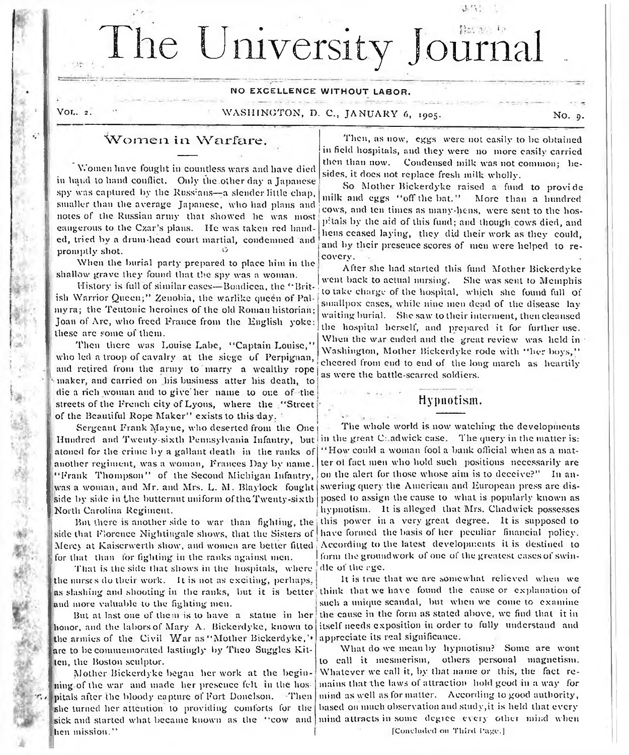# The University Journa

#### NO EXCELLENCE WITHOUT LABOR.

and the collection of the collection

#### Vor.. 2. WASHINGTON, D. C., JANUARY 6, 1905. No. 9.

### Women in Warfare.

Women have fought in countless wars and have died in hand to hand conflict. Only the .other day a Japanese spy was captured by the Russians—a slender little chap, smaller than the average Japanese, who had plans and notes of the Russian army that showed he was most eangerous to the Czar's plans. He was taken red handed, tried hv a drum-head court martial, condemned and promptly shot.

When the burial party prepared to place him in the shallow grave they found that the spy was a woman.

History is full of similar eases— Boadicea, the " British Warrior Queen;" Zenobia, the warlike queen of Palmyra; the Teutonic heroines of the old Roman historian; Joan of Arc, who freed France from the English yoke these are some of them.

Then there was Louise Labe, "Captain Louise," who led a troop of cavalry at the siege of Perpignan, and retired from the army to marry a wealthy rope maker, and carried on his business atter his death, to die a rich woman and to give'her name to one of the streets of the French city of Lyons, where the " Street of the Beautiful Rope Maker" exists to this day.

Sergeant Frank Mayue, who deserted from the One Hundred and Twenty-sixth Pennsylvania Infantry, but in the great C: adwick case. The query in the matter is: atoned for the crime by a gallant death in the ranks of another regiment, was a woman, Frances Day by name. " Frank Thompson" of the Second Michigan Infantry, was a woman, and Mr. and Mrs. L. M. Blaylock fought swering query the American and European press are disside by side in the butternut uniform of the Twenty-sixth posed to assign the cause to what is popularly known as North Carolina Regiment.

But there is another side to war than fighling, the side that Florence Nightingale shows, that the Sisters of Mercy at Kaiserwerth show, and women are better fitted for that than for fighting in the ranks against men.

That is the side that shows in the hospitals, where the nurses do their work. It is not as exciting, perhaps, as slashing and shooting in the ranks, but it is better think that we have found the cause or explanation of and more valuable to the fighting men.

But at last one of them is to have a statue in her honor, and the labors of Mary A. Bickerdyke, known to the armies of the Civil War as "Mother Bickerdyke," are to be commemorated lastingly by Theo Suggles Kitten, the Boston sculptor.

Mother Bickerdyke began her work at the beginning of the war and made her presence felt in the hospitals after the bloody capture of Fort Donelson. Then she turned her attention to providing comforts for the hen mission. "

Then, as now, eggs were not easily to be obtained in field hospitals, and they were no more easily carried then than now. Condensed milk was not common; besides, it does not replace fresh milk wholly.

So Mother Bickerdyke raised a fund to provide milk and eggs "off the bat." More than a hundred cows, and ten times as many-hens, were sent to the hospitals by the aid of this fund; and though cows died, and hens ceased laying, they did their work as they could, and by their presence scores of men were helped to recovery.

After she had started this fund Mother Bickerdyke went back to actual nursing. She was sent to Memphis to take charge of the hospital, which she found full of smallpox cases, while nine men dead of the disease lay waiting burial. She saw to their interment, then cleansed the hospital herself, and prepared it for further use. When the war ended and the great review was held in Washington, Mother Bickerdyke rode with " her boys," • cheered from end to end of the long march as heartily as were the battle-scarred soldiers.

#### Hypnotism.

The whole world is now watching the developments " How could a woman fool a bank official when as a matter ol fact men who hold such positions necessarily are on the alert for those whose aim is to deceive?" In anhypnotism. It is alleged that Mrs. Chadwick possesses , this power in a very great degree. It is supposed to have formed the basis of her peculiar financial policy. ' According to the latest developments it is destined to form the groundwork of one of the greatest cases of swindle of the rge.

It is true that we are somewhat relieved when we such a unique scandal, but when we come to examine the cause in the form as stated above, we find that it in itself needs exposition in order to fully understand and appreciate its real significance.

sick and started what became known as the "cow and mind attracts in some degree every other mind when What do we mean by hypnotism? Some are wont to call it mesmerism, others personal magnetism. Whatever we call it, by that name or this, the fact remains that the laws of attraction hold good in a way for mind as well as formatter. According to good authority, based on much observation and study,it is held that every

[Concluded on Third Page.]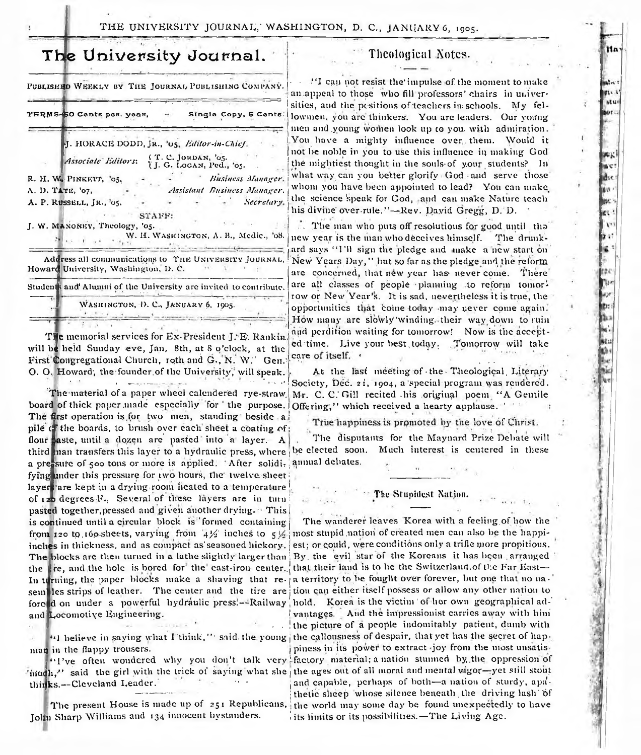## The University Journal.

PUBLISHED WEEKLY BY THE JOURNAL PUBLISHING COMPANY. TERMS-50 Cents per. year Single Copy, 5 Cents

> J. HORACE DODD, JR., '05, Editor-in-Chief. (T. C. JORDAN, '05.<br>{J. G. LOGAN, Ped., '05. **Associate Editors:**

R. H. W. PINKETT, '05, Business Manager. A. D. TATE, '07, Assistant Business Manager. A. P. RUSSELL, JR., '05. Secretary. STAFF:

J. W. MANONEY, Theology, '05.

W. H. WASHINGTON, A. B., Medic., '08.

Address all communications to THE UNIVERSITY JOURNAL. Howard University, Washington, D. C.

Students and Alumni of the University are invited to contribute.

WASHINGTON, D. C., JANUARY 6, 1905.

The memorial services for Ex-President J. E. Rankin. will be held Sunday eve, Jan. 8th, at 8 o'clock, at the First Congregational Church, roth and G., N. W.' Gen. O. O. Howard, the founder of the University, will speak.

.<br>Maria de la franca de la franca The material of a paper wheel calendered rye-straw board of thick paper made especially for 'the purpose. The first operation is for two men, standing beside a pile of the boards, to brush over each sheet a coating of: flour saste, until a dozen are pasted into a layer. A third man transfers this layer to a hydraulic press, where a pressure of soo tons or more is applied. 'After solidi, fying under this pressure for two hours, the twelve sheet: layers are kept in a drying room heated to a temperature of 120 degrees F. Several of these layers are in turn pasted together, pressed and given another drying. This is continued until a circular block is formed containing from 120 to 160 sheets, varying from  $4\frac{1}{2}$  inches to  $5\frac{1}{2}$ inches in thickness, and as compact as seasoned hickory. The blocks are then turned in a lathe slightly larger than By the evil star of the Koreans it has been arranged the Lire, and the hole is bored for the east-iron center. In turning, the paper blocks make a shaving that re- a territory to be fought over forever, but one that no nasem les strips of leather. The center and the tire are tion can either itself possess or allow any other nation to forced on under a powerful hydraulic press.--Railway hold. Korea is the victim of hor own geographical adand Locomotive Engineering.

man in the flappy trousers.

'intudh," said the girl with the trick of saying what she, the ages out of all moral and mental vigor-yet still stout thinks.--Cleveland Leader.

The present House is made up of 251 Republicans, John Sharp Williams and 134 innocent bystanders.

#### Theological Notes.

"I can not resist the impulse of the moment to make an appeal to those who fill professors' chairs in universities, and the positions of teachers in schools. My fellowmen, you are thinkers. You are leaders. Our young men and young women look up to you with admiration. You have a mighty influence over them. Would it not be noble in you to use this influence in making God the mightiest thought in the souls of your students? In what way can you better glorify God and serve those whom you have been appointed to lead? You can make the science speak for God, and can make Nature teach his divine over-rule."---Rev. David Gregg, D. D.

... The man who puts off resolutions for good until the new year is the man who deceives himself. The drunkard says "I'll sign the pledge and make a new start on New Years Day," but so far as the pledge and the reform are concerned, that new year has never come. There are all classes of people planning to reform tomorrow or New Year's. It is sad, nevertheless it is true, the opportunities that come today may never come again. How many are slowly winding, their way down to ruin and perdition waiting for tomorrow! Now is the accepted time. Live your best today. Tomorrow will take care of itself.

At the last meeting of the Theological Literary Society, Dec. 21, 1904, a special program was rendered. Mr. C. C. Gill recited his original poem "A Gentile Offering," which received a hearty applause."

True happiness is promoted by the love of Christ. The disputants for the Maynard Prize Debate will be elected soon. Much interest is centered in these annual dehates.

#### The Stupidest Nation.

The wanderer leaves Korea with a feeling of how the most stupid nation of created men can also be the happiest; or could, were conditions only a trifle more propitious. that their land is to be the Switzerland.of the Far Eastvantages. And the impressionist carries away with him the picture of a people indomitably patient, dumb with "I believe in saying what I think," said the young the callousness of despair, that yet has the secret of happiness in its power to extract joy from the most unsatis-"I've often wondered why you don't talk very factory material; a nation stunned by the oppression of and capable, perhaps of both-a nation of sturdy, apdthetic sheep whose silence beneath the driving lash of the world may some day be found unexpectedly to have its limits or its possibilities.-The Living Age.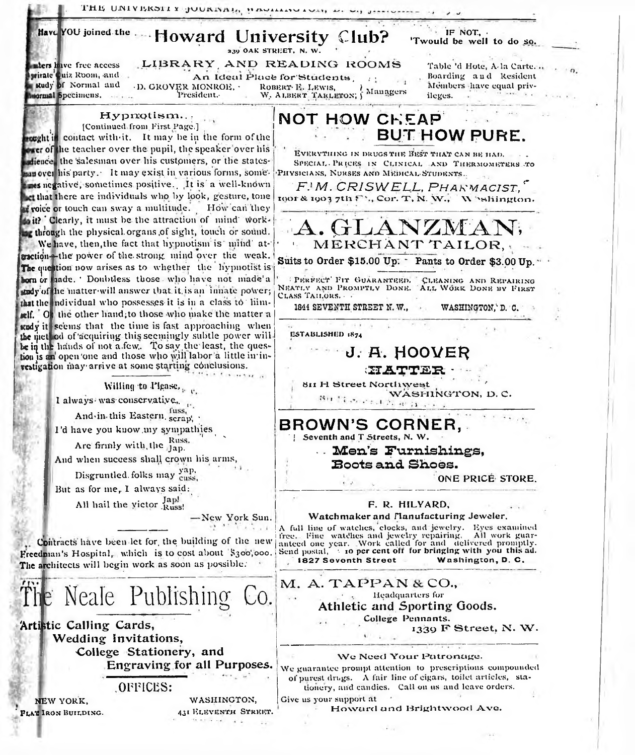THE UNIVERSITY JOURNAL, HAMMONDAN, M. Have YOU joined the IF NOT. Howard University Club? 'Twould be well to do so. 239 OAK STREET, N. W. LIBRARY AND READING ROOMS mbers have free access Table 'd Hote, A-la Carte... private quiz Room, and An Ideal Place for Students Boarding and Resident Rudy of Normal and Members have equal priv-D. GROVER MONROE, . ROBERT E. LEWIS, W, ALBERT TARLETON; Managers **sormal Specimens.** President. ileges. Hypnotism.. NOT HOW CHEAP [Continued from First Page.] **BUT HOW PURE.** wought is contact with it. It may be in the form of the wer of the teacher over the pupil, the speaker over his EVERYTHING IN DRUGS THE BEST THAT CAN BE HAD. dience, the salesman over his customers, or the states-SPECIAL PRICES IN CLINICAL AND THERMOMETERS TO an over his party. It may exist in various forms, some. PHYSICIANS, NURSES AND MEDICAL STUDENTS. res negative, sometimes positive. It is a well-known F.W. CRISWELL, PHARMACIST, et that there are individuals who by look, gesture, tone toor & 1903 7th F<sup>1</sup>., Cor. T, N. W., Whalington. roice or touch can sway a multitude. How can they to it? Clearly, it must be the attraction of mind work-ANZMA ar through the physical organs of sight, touch or sound. MERCHANT TAILOR, We have, then, the fact that hypnotism is 'mind' atcaction-the power of the strong mind over the weak. Suits to Order \$15.00 Up. Dants to Order \$3.00 Up." The question now arises as to whether the hypnotist is born or faade. ' Doubtless those who have not made'a <sup>1</sup> PERFECT FIT GUARANTEED. CLEANING AND REPAIRING<br>NEATLY AND PROMPTLY DONE. ALL WORK DONE BY FIRST tody of the matter will answer that it is an innate power; CLASS TAILORS. that the ndividual who possesses it is in a class to him-1844 SEVENTH STREET N.W., WASHINGTON, D. C. all. Or the other hand; to those who make the matter a study it seems that the time is fast approaching when the method of acquiring this seemingly subtle power will ESTABLISHED 1874 be in the hands of not a few. To say the least, the ques-J. A. HOOVER tion is an open one and those who will labor a little in investigation may arrive at some starting conclusions. *XIATTER* 811 H Street Northwest Willing to Please, WASHINGTON, D.C. on tisserate. I always was conservative, fuss. And in this Eastern, scrap, BROWN'S CORNER. I'd have you know my sympathies Seventh and T Streets, N. W. Are firmly with the Russ. Men's Furnishings, And when success shall crown his arms, **Boots and Shoes.** Disgruntled folks may yap, ONE PRICE STORE. But as for me, I always said: All hail the victor  $I_{\text{Russ!}}^{Jap!}$ F. R. HILYARD. Watchmaker and Flanufacturing Jeweler. -New York Sun. A full line of watches, clocks, and jewelry. Eyes examined free. Fine watches and jewelry repairing. All work guaranteed one year. Work called for and delivered promptly.<br>Send postal,  $\pm$  10 per cent off for bringing with you this ad. Contracts have been let for the building of the new Freedman's Hospital, which is to cost about \$300,000. 1827 Seventh Street Washington, D. C. The architects will begin work as soon as possible. M. A. TAPPAN & CO., Neale Publishing  $\circ$ . Headquarters for Athletic and Sporting Goods. College Pennants. Artistic Calling Cards, 1339 F Street, N. W. Wedding Invitations, College Stationery, and We Need Your Patronage. **Engraving for all Purposes.** We guarantee prompt attention to prescriptions compounded of purest drugs. A fair line of eigars, toilet articles, sta-OFFICES: tionery, and candies. Call on us and leave orders. Give us your support at WASHINGTON, NEW YORK. Howard and Brightwood Ave. 431 ELEVENTH STREET. **PLAT IRON BUILDING.**